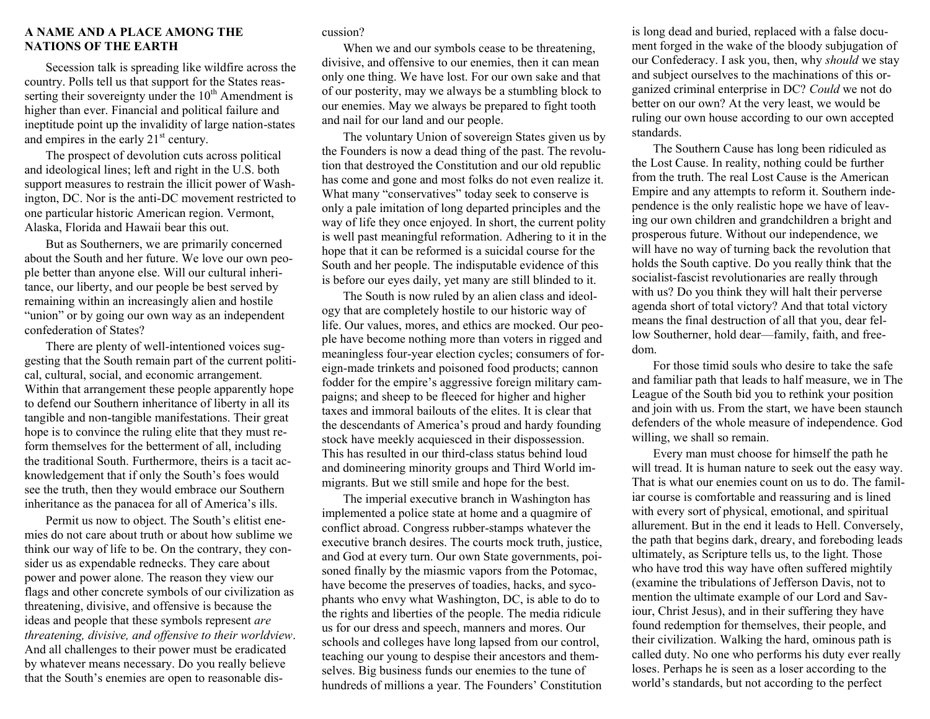## **A NAME AND A PLACE AMONG THE NATIONS OF THE EARTH**

Secession talk is spreading like wildfire across the country. Polls tell us that support for the States reasserting their sovereignty under the  $10<sup>th</sup>$  Amendment is higher than ever. Financial and political failure and ineptitude point up the invalidity of large nation-states and empires in the early 21<sup>st</sup> century.

The prospect of devolution cuts across political and ideological lines; left and right in the U.S. both support measures to restrain the illicit power of Washington, DC. Nor is the anti-DC movement restricted to one particular historic American region. Vermont, Alaska, Florida and Hawaii bear this out.

But as Southerners, we are primarily concerned about the South and her future. We love our own people better than anyone else. Will our cultural inheritance, our liberty, and our people be best served by remaining within an increasingly alien and hostile "union" or by going our own way as an independent confederation of States?

There are plenty of well-intentioned voices suggesting that the South remain part of the current political, cultural, social, and economic arrangement. Within that arrangement these people apparently hope to defend our Southern inheritance of liberty in all its tangible and non-tangible manifestations. Their great hope is to convince the ruling elite that they must reform themselves for the betterment of all, including the traditional South. Furthermore, theirs is a tacit acknowledgement that if only the South's foes would see the truth, then they would embrace our Southern inheritance as the panacea for all of America's ills.

Permit us now to object. The South's elitist enemies do not care about truth or about how sublime we think our way of life to be. On the contrary, they consider us as expendable rednecks. They care about power and power alone. The reason they view our flags and other concrete symbols of our civilization as threatening, divisive, and offensive is because the ideas and people that these symbols represent *are threatening, divisive, and offensive to their worldview*. And all challenges to their power must be eradicated by whatever means necessary. Do you really believe that the South's enemies are open to reasonable dis-

## cussion?

When we and our symbols cease to be threatening, divisive, and offensive to our enemies, then it can mean only one thing. We have lost. For our own sake and that of our posterity, may we always be a stumbling block to our enemies. May we always be prepared to fight tooth and nail for our land and our people.

The voluntary Union of sovereign States given us by the Founders is now a dead thing of the past. The revolution that destroyed the Constitution and our old republic has come and gone and most folks do not even realize it. What many "conservatives" today seek to conserve is only a pale imitation of long departed principles and the way of life they once enjoyed. In short, the current polity is well past meaningful reformation. Adhering to it in the hope that it can be reformed is a suicidal course for the South and her people. The indisputable evidence of this is before our eyes daily, yet many are still blinded to it.

The South is now ruled by an alien class and ideology that are completely hostile to our historic way of life. Our values, mores, and ethics are mocked. Our people have become nothing more than voters in rigged and meaningless four-year election cycles; consumers of foreign-made trinkets and poisoned food products; cannon fodder for the empire's aggressive foreign military campaigns; and sheep to be fleeced for higher and higher taxes and immoral bailouts of the elites. It is clear that the descendants of America's proud and hardy founding stock have meekly acquiesced in their dispossession. This has resulted in our third-class status behind loud and domineering minority groups and Third World immigrants. But we still smile and hope for the best.

The imperial executive branch in Washington has implemented a police state at home and a quagmire of conflict abroad. Congress rubber-stamps whatever the executive branch desires. The courts mock truth, justice, and God at every turn. Our own State governments, poisoned finally by the miasmic vapors from the Potomac, have become the preserves of toadies, hacks, and sycophants who envy what Washington, DC, is able to do to the rights and liberties of the people. The media ridicule us for our dress and speech, manners and mores. Our schools and colleges have long lapsed from our control, teaching our young to despise their ancestors and themselves. Big business funds our enemies to the tune of hundreds of millions a year. The Founders' Constitution is long dead and buried, replaced with a false document forged in the wake of the bloody subjugation of our Confederacy. I ask you, then, why *should* we stay and subject ourselves to the machinations of this organized criminal enterprise in DC? *Could* we not do better on our own? At the very least, we would be ruling our own house according to our own accepted standards.

The Southern Cause has long been ridiculed as the Lost Cause. In reality, nothing could be further from the truth. The real Lost Cause is the American Empire and any attempts to reform it. Southern independence is the only realistic hope we have of leaving our own children and grandchildren a bright and prosperous future. Without our independence, we will have no way of turning back the revolution that holds the South captive. Do you really think that the socialist-fascist revolutionaries are really through with us? Do you think they will halt their perverse agenda short of total victory? And that total victory means the final destruction of all that you, dear fellow Southerner, hold dear—family, faith, and freedom.

For those timid souls who desire to take the safe and familiar path that leads to half measure, we in The League of the South bid you to rethink your position and join with us. From the start, we have been staunch defenders of the whole measure of independence. God willing, we shall so remain.

Every man must choose for himself the path he will tread. It is human nature to seek out the easy way. That is what our enemies count on us to do. The familiar course is comfortable and reassuring and is lined with every sort of physical, emotional, and spiritual allurement. But in the end it leads to Hell. Conversely, the path that begins dark, dreary, and foreboding leads ultimately, as Scripture tells us, to the light. Those who have trod this way have often suffered mightily (examine the tribulations of Jefferson Davis, not to mention the ultimate example of our Lord and Saviour, Christ Jesus), and in their suffering they have found redemption for themselves, their people, and their civilization. Walking the hard, ominous path is called duty. No one who performs his duty ever really loses. Perhaps he is seen as a loser according to the world's standards, but not according to the perfect